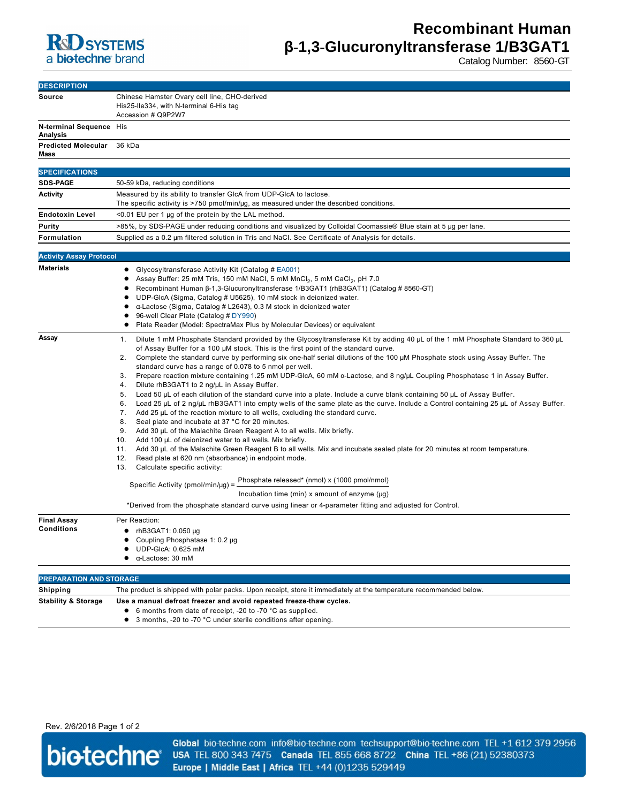

Catalog Number: 8560-GT

| <b>DESCRIPTION</b>                         |                                                                                                                                                                                                                                                                                                                                                                                                                                                                                                                                                                                                                                                                                                                                                                                                                                                                                                                                                                                                                                                                                                                                                                                                                                                                                                                                                                                                                                                                                                                                                                                                                                                                                                                      |
|--------------------------------------------|----------------------------------------------------------------------------------------------------------------------------------------------------------------------------------------------------------------------------------------------------------------------------------------------------------------------------------------------------------------------------------------------------------------------------------------------------------------------------------------------------------------------------------------------------------------------------------------------------------------------------------------------------------------------------------------------------------------------------------------------------------------------------------------------------------------------------------------------------------------------------------------------------------------------------------------------------------------------------------------------------------------------------------------------------------------------------------------------------------------------------------------------------------------------------------------------------------------------------------------------------------------------------------------------------------------------------------------------------------------------------------------------------------------------------------------------------------------------------------------------------------------------------------------------------------------------------------------------------------------------------------------------------------------------------------------------------------------------|
| Source                                     | Chinese Hamster Ovary cell line, CHO-derived<br>His25-Ile334, with N-terminal 6-His tag<br>Accession # Q9P2W7                                                                                                                                                                                                                                                                                                                                                                                                                                                                                                                                                                                                                                                                                                                                                                                                                                                                                                                                                                                                                                                                                                                                                                                                                                                                                                                                                                                                                                                                                                                                                                                                        |
| N-terminal Sequence His<br><b>Analysis</b> |                                                                                                                                                                                                                                                                                                                                                                                                                                                                                                                                                                                                                                                                                                                                                                                                                                                                                                                                                                                                                                                                                                                                                                                                                                                                                                                                                                                                                                                                                                                                                                                                                                                                                                                      |
| <b>Predicted Molecular</b><br>Mass         | 36 kDa                                                                                                                                                                                                                                                                                                                                                                                                                                                                                                                                                                                                                                                                                                                                                                                                                                                                                                                                                                                                                                                                                                                                                                                                                                                                                                                                                                                                                                                                                                                                                                                                                                                                                                               |
|                                            |                                                                                                                                                                                                                                                                                                                                                                                                                                                                                                                                                                                                                                                                                                                                                                                                                                                                                                                                                                                                                                                                                                                                                                                                                                                                                                                                                                                                                                                                                                                                                                                                                                                                                                                      |
| <b>SPECIFICATIONS</b>                      |                                                                                                                                                                                                                                                                                                                                                                                                                                                                                                                                                                                                                                                                                                                                                                                                                                                                                                                                                                                                                                                                                                                                                                                                                                                                                                                                                                                                                                                                                                                                                                                                                                                                                                                      |
| <b>SDS-PAGE</b>                            | 50-59 kDa, reducing conditions                                                                                                                                                                                                                                                                                                                                                                                                                                                                                                                                                                                                                                                                                                                                                                                                                                                                                                                                                                                                                                                                                                                                                                                                                                                                                                                                                                                                                                                                                                                                                                                                                                                                                       |
| <b>Activity</b>                            | Measured by its ability to transfer GIcA from UDP-GIcA to lactose.<br>The specific activity is $>750$ pmol/min/µg, as measured under the described conditions.                                                                                                                                                                                                                                                                                                                                                                                                                                                                                                                                                                                                                                                                                                                                                                                                                                                                                                                                                                                                                                                                                                                                                                                                                                                                                                                                                                                                                                                                                                                                                       |
|                                            |                                                                                                                                                                                                                                                                                                                                                                                                                                                                                                                                                                                                                                                                                                                                                                                                                                                                                                                                                                                                                                                                                                                                                                                                                                                                                                                                                                                                                                                                                                                                                                                                                                                                                                                      |
| <b>Endotoxin Level</b>                     | <0.01 EU per 1 µg of the protein by the LAL method.                                                                                                                                                                                                                                                                                                                                                                                                                                                                                                                                                                                                                                                                                                                                                                                                                                                                                                                                                                                                                                                                                                                                                                                                                                                                                                                                                                                                                                                                                                                                                                                                                                                                  |
| Purity                                     | >85%, by SDS-PAGE under reducing conditions and visualized by Colloidal Coomassie® Blue stain at 5 µg per lane.                                                                                                                                                                                                                                                                                                                                                                                                                                                                                                                                                                                                                                                                                                                                                                                                                                                                                                                                                                                                                                                                                                                                                                                                                                                                                                                                                                                                                                                                                                                                                                                                      |
| Formulation                                | Supplied as a 0.2 µm filtered solution in Tris and NaCl. See Certificate of Analysis for details.                                                                                                                                                                                                                                                                                                                                                                                                                                                                                                                                                                                                                                                                                                                                                                                                                                                                                                                                                                                                                                                                                                                                                                                                                                                                                                                                                                                                                                                                                                                                                                                                                    |
| <b>Activity Assay Protocol</b>             |                                                                                                                                                                                                                                                                                                                                                                                                                                                                                                                                                                                                                                                                                                                                                                                                                                                                                                                                                                                                                                                                                                                                                                                                                                                                                                                                                                                                                                                                                                                                                                                                                                                                                                                      |
| <b>Materials</b>                           | Glycosyltransferase Activity Kit (Catalog # EA001)<br>Assay Buffer: 25 mM Tris, 150 mM NaCl, 5 mM MnCl <sub>2</sub> , 5 mM CaCl <sub>2</sub> , pH 7.0<br>Recombinant Human B-1,3-Glucuronyltransferase 1/B3GAT1 (rhB3GAT1) (Catalog #8560-GT)<br>٠<br>UDP-GlcA (Sigma, Catalog # U5625), 10 mM stock in deionized water.<br>α-Lactose (Sigma, Catalog # L2643), 0.3 M stock in deionized water<br>96-well Clear Plate (Catalog # DY990)<br>Plate Reader (Model: SpectraMax Plus by Molecular Devices) or equivalent                                                                                                                                                                                                                                                                                                                                                                                                                                                                                                                                                                                                                                                                                                                                                                                                                                                                                                                                                                                                                                                                                                                                                                                                  |
| Assay                                      | Dilute 1 mM Phosphate Standard provided by the Glycosyltransferase Kit by adding 40 µL of the 1 mM Phosphate Standard to 360 µL<br>1.<br>of Assay Buffer for a 100 µM stock. This is the first point of the standard curve.<br>Complete the standard curve by performing six one-half serial dilutions of the 100 µM Phosphate stock using Assay Buffer. The<br>2.<br>standard curve has a range of 0.078 to 5 nmol per well.<br>Prepare reaction mixture containing 1.25 mM UDP-GIcA, 60 mM α-Lactose, and 8 ng/μL Coupling Phosphatase 1 in Assay Buffer.<br>3.<br>Dilute rhB3GAT1 to 2 ng/uL in Assay Buffer.<br>4.<br>Load 50 µL of each dilution of the standard curve into a plate. Include a curve blank containing 50 µL of Assay Buffer.<br>5.<br>Load 25 µL of 2 ng/µL rhB3GAT1 into empty wells of the same plate as the curve. Include a Control containing 25 µL of Assay Buffer.<br>6.<br>7.<br>Add 25 $\mu$ L of the reaction mixture to all wells, excluding the standard curve.<br>8.<br>Seal plate and incubate at 37 °C for 20 minutes.<br>9.<br>Add 30 µL of the Malachite Green Reagent A to all wells. Mix briefly.<br>Add 100 µL of deionized water to all wells. Mix briefly.<br>10.<br>11.<br>Add 30 µL of the Malachite Green Reagent B to all wells. Mix and incubate sealed plate for 20 minutes at room temperature.<br>12.<br>Read plate at 620 nm (absorbance) in endpoint mode.<br>13.<br>Calculate specific activity:<br>Phosphate released* (nmol) x (1000 pmol/nmol)<br>Specific Activity (pmol/min/ $\mu$ g) =<br>Incubation time (min) x amount of enzyme $(\mu g)$<br>*Derived from the phosphate standard curve using linear or 4-parameter fitting and adjusted for Control. |
| <b>Final Assay</b><br>Conditions           | Per Reaction:<br>$\bullet$ rhB3GAT1: 0.050 µg<br>Coupling Phosphatase 1: 0.2 µg<br>UDP-GlcA: 0.625 mM<br>α-Lactose: 30 mM                                                                                                                                                                                                                                                                                                                                                                                                                                                                                                                                                                                                                                                                                                                                                                                                                                                                                                                                                                                                                                                                                                                                                                                                                                                                                                                                                                                                                                                                                                                                                                                            |
| <b>PREPARATION AND STORAGE</b>             |                                                                                                                                                                                                                                                                                                                                                                                                                                                                                                                                                                                                                                                                                                                                                                                                                                                                                                                                                                                                                                                                                                                                                                                                                                                                                                                                                                                                                                                                                                                                                                                                                                                                                                                      |
| Shipping                                   | The product is shipped with polar packs. Upon receipt, store it immediately at the temperature recommended below.                                                                                                                                                                                                                                                                                                                                                                                                                                                                                                                                                                                                                                                                                                                                                                                                                                                                                                                                                                                                                                                                                                                                                                                                                                                                                                                                                                                                                                                                                                                                                                                                    |
| <b>Stability &amp; Storage</b>             | Use a manual defrost freezer and avoid repeated freeze-thaw cycles.<br>• 6 months from date of receipt, -20 to -70 °C as supplied.<br>3 months, -20 to -70 °C under sterile conditions after opening.<br>٠                                                                                                                                                                                                                                                                                                                                                                                                                                                                                                                                                                                                                                                                                                                                                                                                                                                                                                                                                                                                                                                                                                                                                                                                                                                                                                                                                                                                                                                                                                           |

Rev. 2/6/2018 Page 1 of 2



Global bio-techne.com info@bio-techne.com techsupport@bio-techne.com TEL +1 612 379 2956 USA TEL 800 343 7475 Canada TEL 855 668 8722 China TEL +86 (21) 52380373 Europe | Middle East | Africa TEL +44 (0)1235 529449